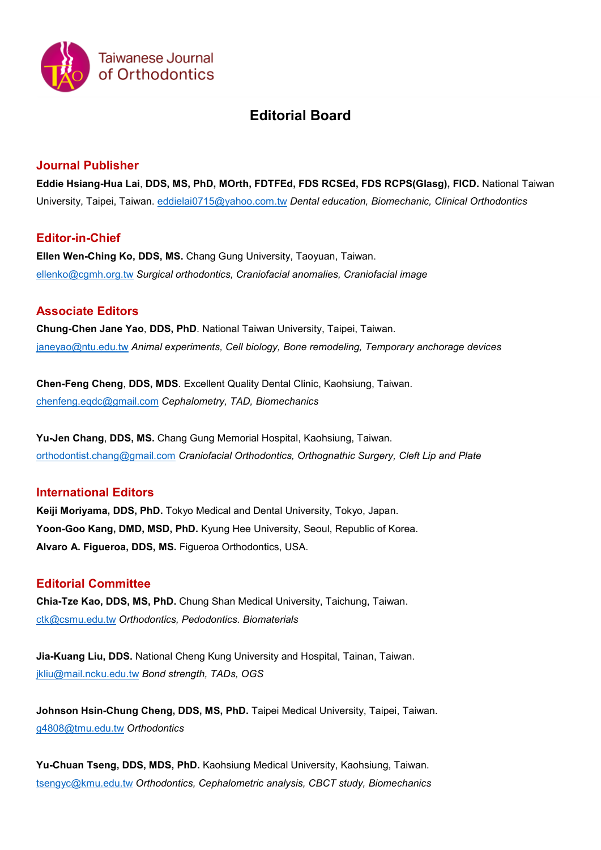

# **Editorial Board**

#### **Journal Publisher**

**Eddie Hsiang-Hua Lai**, **DDS, MS, PhD, MOrth, FDTFEd, FDS RCSEd, FDS RCPS(Glasg), FICD.** National Taiwan University, Taipei, Taiwan. [eddielai0715@yahoo.com.tw](mailto:eddielai0715@yahoo.com.tw) *Dental education, Biomechanic, Clinical Orthodontics* 

## **Editor-in-Chief**

**Ellen Wen-Ching Ko, DDS, MS.** Chang Gung University, Taoyuan, Taiwan. [ellenko@cgmh.org.tw](mailto:ellenko@cgmh.org.tw) *Surgical orthodontics, Craniofacial anomalies, Craniofacial image*

## **Associate Editors**

**Chung-Chen Jane Yao**, **DDS, PhD**. National Taiwan University, Taipei, Taiwan. [janeyao@ntu.edu.tw](mailto:janeyao@ntu.edu.tw) *Animal experiments, Cell biology, Bone remodeling, Temporary anchorage devices*

**Chen-Feng Cheng**, **DDS, MDS**. Excellent Quality Dental Clinic, Kaohsiung, Taiwan. [chenfeng.eqdc@gmail.com](mailto:chenfeng.eqdc@gmail.com) *Cephalometry, TAD, Biomechanics*

**Yu-Jen Chang**, **DDS, MS.** Chang Gung Memorial Hospital, Kaohsiung, Taiwan. [orthodontist.chang@gmail.com](mailto:orthodontist.chang@gmail.com) *Craniofacial Orthodontics, Orthognathic Surgery, Cleft Lip and Plate*

## **International Editors**

**Keiji Moriyama, DDS, PhD.** Tokyo Medical and Dental University, Tokyo, Japan. **Yoon-Goo Kang, DMD, MSD, PhD.** Kyung Hee University, Seoul, Republic of Korea. **Alvaro A. Figueroa, DDS, MS.** Figueroa Orthodontics, USA.

## **Editorial Committee**

**Chia-Tze Kao, DDS, MS, PhD.** Chung Shan Medical University, Taichung, Taiwan. [ctk@csmu.edu.tw](mailto:ctk@csmu.edu.tw) *Orthodontics, Pedodontics. Biomaterials*

**Jia-Kuang Liu, DDS.** National Cheng Kung University and Hospital, Tainan, Taiwan. [jkliu@mail.ncku.edu.tw](mailto:jkliu@mail.ncku.edu.tw) *Bond strength, TADs, OGS*

**Johnson Hsin-Chung Cheng, DDS, MS, PhD.** Taipei Medical University, Taipei, Taiwan. [g4808@tmu.edu.tw](mailto:g4808@tmu.edu.tw) *Orthodontics*

**Yu-Chuan Tseng, DDS, MDS, PhD.** Kaohsiung Medical University, Kaohsiung, Taiwan. [tsengyc@kmu.edu.tw](mailto:tsengyc@kmu.edu.tw) *Orthodontics, Cephalometric analysis, CBCT study, Biomechanics*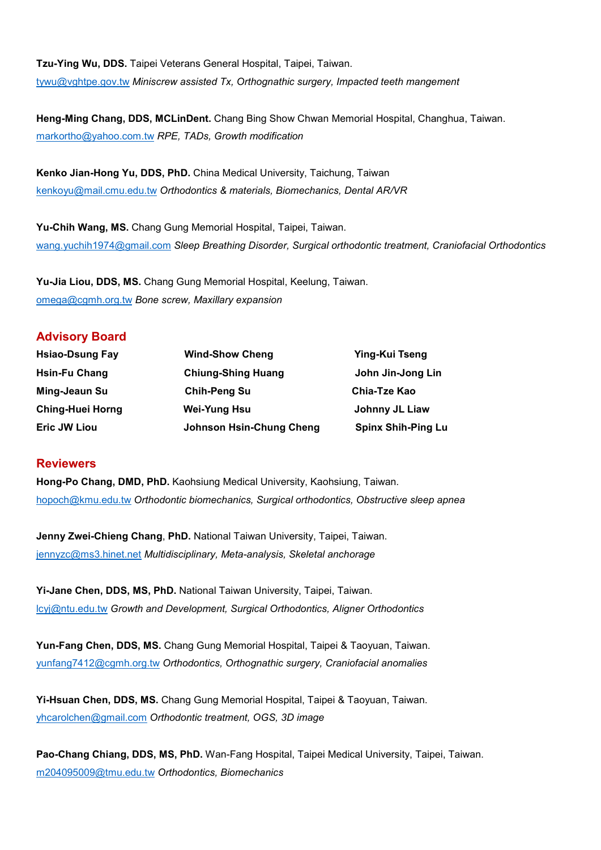**Tzu-Ying Wu, DDS.** Taipei Veterans General Hospital, Taipei, Taiwan. [tywu@vghtpe.gov.tw](mailto:tywu@vghtpe.gov.tw) *Miniscrew assisted Tx, Orthognathic surgery, Impacted teeth mangement*

**Heng-Ming Chang, DDS, MCLinDent.** Chang Bing Show Chwan Memorial Hospital, Changhua, Taiwan. [markortho@yahoo.com.tw](mailto:markortho@yahoo.com.tw) *RPE, TADs, Growth modification*

**Kenko Jian-Hong Yu, DDS, PhD.** China Medical University, Taichung, Taiwan [kenkoyu@mail.cmu.edu.tw](mailto:kenkoyu@mail.cmu.edu.tw) *Orthodontics & materials, Biomechanics, Dental AR/VR*

**Yu-Chih Wang, MS.** Chang Gung Memorial Hospital, Taipei, Taiwan. [wang.yuchih1974@gmail.com](mailto:wang.yuchih1974@gmail.com) *Sleep Breathing Disorder, Surgical orthodontic treatment, Craniofacial Orthodontics*

**Yu-Jia Liou, DDS, MS.** Chang Gung Memorial Hospital, Keelung, Taiwan. [omega@cgmh.org.tw](mailto:omega@cgmh.org.tw) *Bone screw, Maxillary expansion*

#### **Advisory Board**

| <b>Hsiao-Dsung Fay</b>  | <b>Wind-Show Cheng</b>          | Ying-Kui Tseng            |
|-------------------------|---------------------------------|---------------------------|
| <b>Hsin-Fu Chang</b>    | <b>Chiung-Shing Huang</b>       | John Jin-Jong Lin         |
| Ming-Jeaun Su           | <b>Chih-Peng Su</b>             | Chia-Tze Kao              |
| <b>Ching-Huei Horng</b> | <b>Wei-Yung Hsu</b>             | Johnny JL Liaw            |
| <b>Eric JW Liou</b>     | <b>Johnson Hsin-Chung Cheng</b> | <b>Spinx Shih-Ping Lu</b> |

#### **Reviewers**

**Hong-Po Chang, DMD, PhD.** Kaohsiung Medical University, Kaohsiung, Taiwan. [hopoch@kmu.edu.tw](mailto:hopoch@kmu.edu.tw) *Orthodontic biomechanics, Surgical orthodontics, Obstructive sleep apnea*

**Jenny Zwei-Chieng Chang**, **PhD.** National Taiwan University, Taipei, Taiwan. [jennyzc@ms3.hinet.net](mailto:jennyzc@ms3.hinet.net) *Multidisciplinary, Meta-analysis, Skeletal anchorage*

**Yi-Jane Chen, DDS, MS, PhD.** National Taiwan University, Taipei, Taiwan. [lcyj@ntu.edu.tw](mailto:lcyj@ntu.edu.tw) *Growth and Development, Surgical Orthodontics, Aligner Orthodontics*

**Yun-Fang Chen, DDS, MS.** Chang Gung Memorial Hospital, Taipei & Taoyuan, Taiwan. [yunfang7412@cgmh.org.tw](mailto:yunfang7412@cgmh.org.tw) *Orthodontics, Orthognathic surgery, Craniofacial anomalies*

**Yi-Hsuan Chen, DDS, MS.** Chang Gung Memorial Hospital, Taipei & Taoyuan, Taiwan. [yhcarolchen@gmail.com](mailto:yhcarolchen@gmail.com) *Orthodontic treatment, OGS, 3D image*

**Pao-Chang Chiang, DDS, MS, PhD.** Wan-Fang Hospital, Taipei Medical University, Taipei, Taiwan. [m204095009@tmu.edu.tw](mailto:m204095009@tmu.edu.tw) *Orthodontics, Biomechanics*